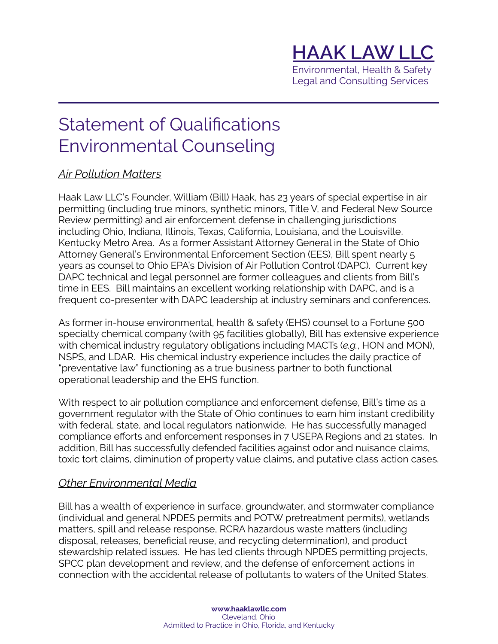# **HAAK LAW LLC**

 Environmental, Health & Safety Legal and Consulting Services

# Statement of Qualifications Environmental Counseling

## *Air Pollution Matters*

Haak Law LLC's Founder, William (Bill) Haak, has 23 years of special expertise in air permitting (including true minors, synthetic minors, Title V, and Federal New Source Review permitting) and air enforcement defense in challenging jurisdictions including Ohio, Indiana, Illinois, Texas, California, Louisiana, and the Louisville, Kentucky Metro Area. As a former Assistant Attorney General in the State of Ohio Attorney General's Environmental Enforcement Section (EES), Bill spent nearly 5 years as counsel to Ohio EPA's Division of Air Pollution Control (DAPC). Current key DAPC technical and legal personnel are former colleagues and clients from Bill's time in EES. Bill maintains an excellent working relationship with DAPC, and is a frequent co-presenter with DAPC leadership at industry seminars and conferences.

As former in-house environmental, health & safety (EHS) counsel to a Fortune 500 specialty chemical company (with 95 facilities globally), Bill has extensive experience with chemical industry regulatory obligations including MACTs (*e.g.*, HON and MON), NSPS, and LDAR. His chemical industry experience includes the daily practice of "preventative law" functioning as a true business partner to both functional operational leadership and the EHS function.

With respect to air pollution compliance and enforcement defense, Bill's time as a government regulator with the State of Ohio continues to earn him instant credibility with federal, state, and local regulators nationwide. He has successfully managed compliance efforts and enforcement responses in 7 USEPA Regions and 21 states. In addition, Bill has successfully defended facilities against odor and nuisance claims, toxic tort claims, diminution of property value claims, and putative class action cases.

#### *Other Environmental Media*

Bill has a wealth of experience in surface, groundwater, and stormwater compliance (individual and general NPDES permits and POTW pretreatment permits), wetlands matters, spill and release response, RCRA hazardous waste matters (including disposal, releases, beneficial reuse, and recycling determination), and product stewardship related issues. He has led clients through NPDES permitting projects, SPCC plan development and review, and the defense of enforcement actions in connection with the accidental release of pollutants to waters of the United States.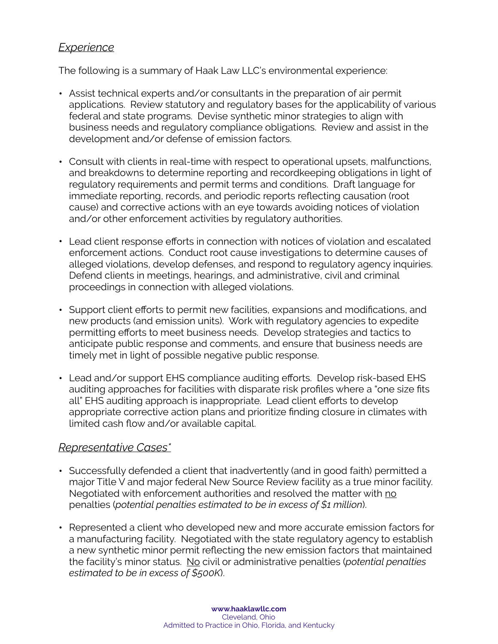### *Experience*

The following is a summary of Haak Law LLC's environmental experience:

- Assist technical experts and/or consultants in the preparation of air permit applications. Review statutory and regulatory bases for the applicability of various federal and state programs. Devise synthetic minor strategies to align with business needs and regulatory compliance obligations. Review and assist in the development and/or defense of emission factors.
- Consult with clients in real-time with respect to operational upsets, malfunctions, and breakdowns to determine reporting and recordkeeping obligations in light of regulatory requirements and permit terms and conditions. Draft language for immediate reporting, records, and periodic reports reflecting causation (root cause) and corrective actions with an eye towards avoiding notices of violation and/or other enforcement activities by regulatory authorities.
- Lead client response efforts in connection with notices of violation and escalated enforcement actions. Conduct root cause investigations to determine causes of alleged violations, develop defenses, and respond to regulatory agency inquiries. Defend clients in meetings, hearings, and administrative, civil and criminal proceedings in connection with alleged violations.
- Support client efforts to permit new facilities, expansions and modifications, and new products (and emission units). Work with regulatory agencies to expedite permitting efforts to meet business needs. Develop strategies and tactics to anticipate public response and comments, and ensure that business needs are timely met in light of possible negative public response.
- Lead and/or support EHS compliance auditing efforts. Develop risk-based EHS auditing approaches for facilities with disparate risk profiles where a "one size fits all" EHS auditing approach is inappropriate. Lead client efforts to develop appropriate corrective action plans and prioritize finding closure in climates with limited cash flow and/or available capital.

#### *Representative Cases\**

- Successfully defended a client that inadvertently (and in good faith) permitted a major Title V and major federal New Source Review facility as a true minor facility. Negotiated with enforcement authorities and resolved the matter with no penalties (*potential penalties estimated to be in excess of \$1 million*).
- Represented a client who developed new and more accurate emission factors for a manufacturing facility. Negotiated with the state regulatory agency to establish a new synthetic minor permit reflecting the new emission factors that maintained the facility's minor status. No civil or administrative penalties (*potential penalties estimated to be in excess of \$500K*).